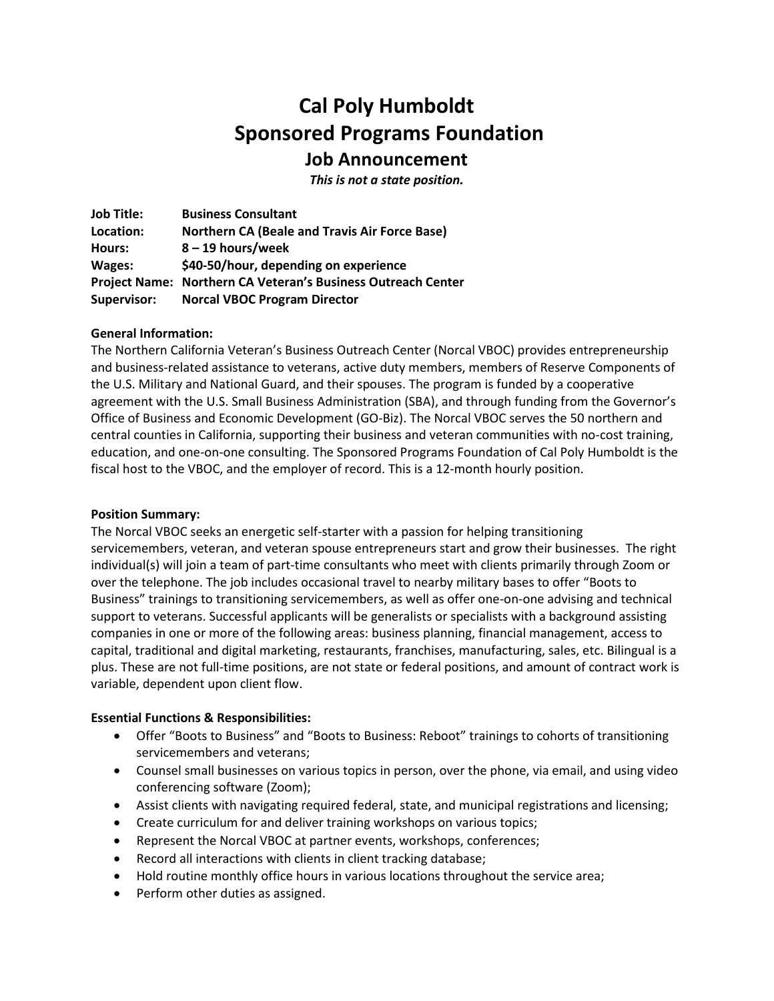# **Cal Poly Humboldt Sponsored Programs Foundation Job Announcement**

*This is not a state position.*

**Job Title: Location: Hours: Wages: Business Consultant Northern CA (Beale and Travis Air Force Base) 8 – 19 hours/week \$40-50/hour, depending on experience Project Name: Northern CA Veteran's Business Outreach Center Supervisor: Norcal VBOC Program Director**

### **General Information:**

The Northern California Veteran's Business Outreach Center (Norcal VBOC) provides entrepreneurship and business-related assistance to veterans, active duty members, members of Reserve Components of the U.S. Military and National Guard, and their spouses. The program is funded by a cooperative agreement with the U.S. Small Business Administration (SBA), and through funding from the Governor's Office of Business and Economic Development (GO-Biz). The Norcal VBOC serves the 50 northern and central counties in California, supporting their business and veteran communities with no-cost training, education, and one-on-one consulting. The Sponsored Programs Foundation of Cal Poly Humboldt is the fiscal host to the VBOC, and the employer of record. This is a 12-month hourly position.

### **Position Summary:**

The Norcal VBOC seeks an energetic self-starter with a passion for helping transitioning servicemembers, veteran, and veteran spouse entrepreneurs start and grow their businesses. The right individual(s) will join a team of part-time consultants who meet with clients primarily through Zoom or over the telephone. The job includes occasional travel to nearby military bases to offer "Boots to Business" trainings to transitioning servicemembers, as well as offer one-on-one advising and technical support to veterans. Successful applicants will be generalists or specialists with a background assisting companies in one or more of the following areas: business planning, financial management, access to capital, traditional and digital marketing, restaurants, franchises, manufacturing, sales, etc. Bilingual is a plus. These are not full-time positions, are not state or federal positions, and amount of contract work is variable, dependent upon client flow.

### **Essential Functions & Responsibilities:**

- Offer "Boots to Business" and "Boots to Business: Reboot" trainings to cohorts of transitioning servicemembers and veterans;
- Counsel small businesses on various topics in person, over the phone, via email, and using video conferencing software (Zoom);
- Assist clients with navigating required federal, state, and municipal registrations and licensing;
- Create curriculum for and deliver training workshops on various topics;
- Represent the Norcal VBOC at partner events, workshops, conferences;
- Record all interactions with clients in client tracking database;
- Hold routine monthly office hours in various locations throughout the service area;
- Perform other duties as assigned.